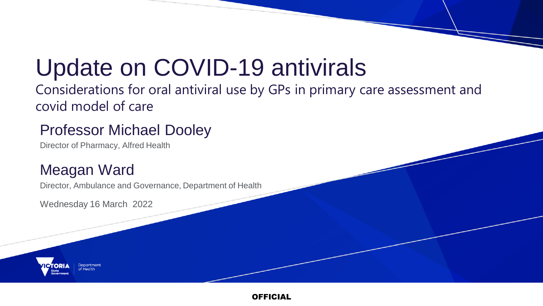# Update on COVID-19 antivirals

Considerations for oral antiviral use by GPs in primary care assessment and covid model of care

#### Professor Michael Dooley

Director of Pharmacy, Alfred Health

#### Meagan Ward

Director, Ambulance and Governance, Department of Health

Wednesday 16 March 2022

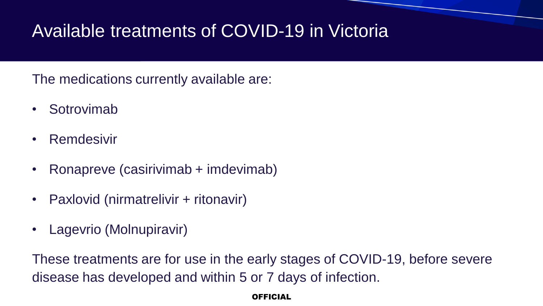## Available treatments of COVID-19 in Victoria

The medications currently available are:

- Sotrovimab
- Remdesivir
- Ronapreve (casirivimab + imdevimab)
- Paxlovid (nirmatrelivir + ritonavir)
- Lagevrio (Molnupiravir)

These treatments are for use in the early stages of COVID-19, before severe disease has developed and within 5 or 7 days of infection.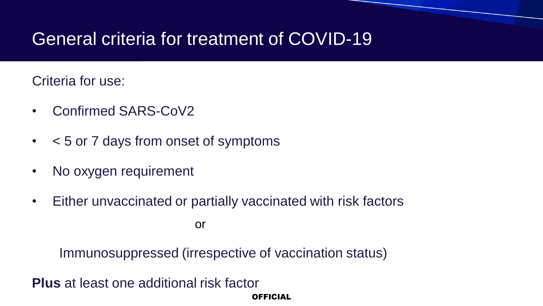## General criteria for treatment of COVID-19

Criteria for use:

- Confirmed SARS-CoV2
- < 5 or 7 days from onset of symptoms
- No oxygen requirement
- Either unvaccinated or partially vaccinated with risk factors

or

Immunosuppressed (irrespective of vaccination status)

**Plus** at least one additional risk factor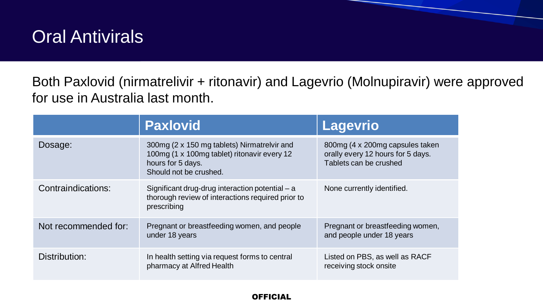### Oral Antivirals

Both Paxlovid (nirmatrelivir + ritonavir) and Lagevrio (Molnupiravir) were approved for use in Australia last month.

|                      | <b>Paxlovid</b>                                                                                                                           | <b>Lagevrio</b>                                                                                |
|----------------------|-------------------------------------------------------------------------------------------------------------------------------------------|------------------------------------------------------------------------------------------------|
| Dosage:              | 300mg (2 x 150 mg tablets) Nirmatrelvir and<br>100mg (1 x 100mg tablet) ritonavir every 12<br>hours for 5 days.<br>Should not be crushed. | 800mg (4 x 200mg capsules taken<br>orally every 12 hours for 5 days.<br>Tablets can be crushed |
| Contraindications:   | Significant drug-drug interaction potential - a<br>thorough review of interactions required prior to<br>prescribing                       | None currently identified.                                                                     |
| Not recommended for: | Pregnant or breastfeeding women, and people<br>under 18 years                                                                             | Pregnant or breastfeeding women,<br>and people under 18 years                                  |
| Distribution:        | In health setting via request forms to central<br>pharmacy at Alfred Health                                                               | Listed on PBS, as well as RACF<br>receiving stock onsite                                       |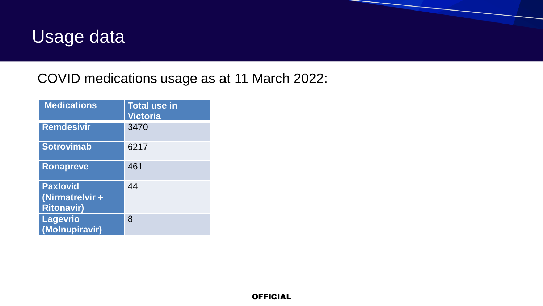

#### COVID medications usage as at 11 March 2022:

| <b>Medications</b>                                      | <b>Total use in</b><br><b>Victoria</b> |
|---------------------------------------------------------|----------------------------------------|
| <b>Remdesivir</b>                                       | 3470                                   |
| <b>Sotrovimab</b>                                       | 6217                                   |
| <b>Ronapreve</b>                                        | 461                                    |
| <b>Paxlovid</b><br>(Nirmatrelvir +<br><b>Ritonavir)</b> | 44                                     |
| <b>Lagevrio</b><br>(Molnupiravir)                       | 8                                      |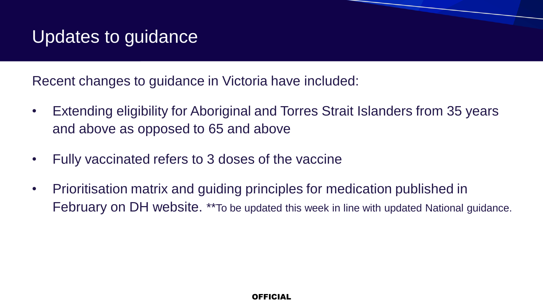### Updates to guidance

Recent changes to guidance in Victoria have included:

- Extending eligibility for Aboriginal and Torres Strait Islanders from 35 years and above as opposed to 65 and above
- Fully vaccinated refers to 3 doses of the vaccine
- Prioritisation matrix and guiding principles for medication published in February on DH website. \*\*To be updated this week in line with updated National guidance.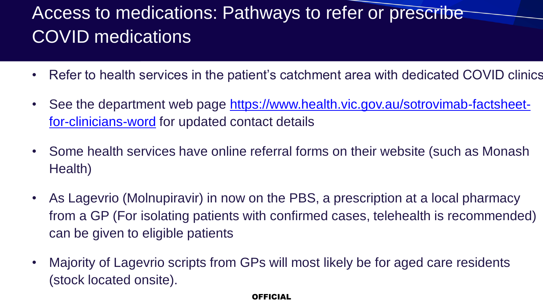## Access to medications: Pathways to refer or prescribe COVID medications

- Refer to health services in the patient's catchment area with dedicated COVID clinics
- [See the department web page https://www.health.vic.gov.au/sotrovimab-factsheet](https://www.health.vic.gov.au/sotrovimab-factsheet-for-clinicians-word)for-clinicians-word for updated contact details
- Some health services have online referral forms on their website (such as Monash Health)
- As Lagevrio (Molnupiravir) in now on the PBS, a prescription at a local pharmacy from a GP (For isolating patients with confirmed cases, telehealth is recommended) can be given to eligible patients
- Majority of Lagevrio scripts from GPs will most likely be for aged care residents (stock located onsite).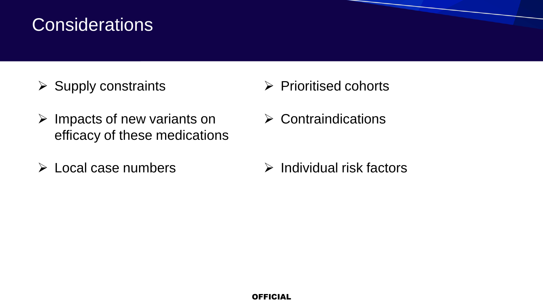#### **Considerations**

- $\triangleright$  Supply constraints
- $\triangleright$  Impacts of new variants on efficacy of these medications
- ➢ Local case numbers
- ➢ Prioritised cohorts
- ➢ Contraindications

➢ Individual risk factors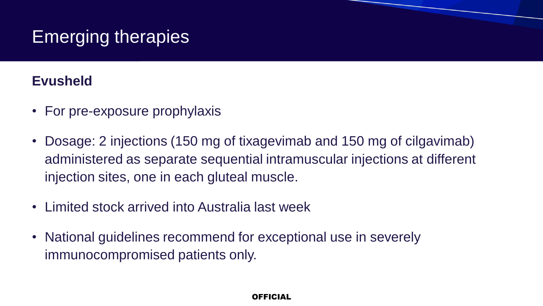## Emerging therapies

#### **Evusheld**

- For pre-exposure prophylaxis
- Dosage: 2 injections (150 mg of tixagevimab and 150 mg of cilgavimab) administered as separate sequential intramuscular injections at different injection sites, one in each gluteal muscle.
- Limited stock arrived into Australia last week
- National guidelines recommend for exceptional use in severely immunocompromised patients only.